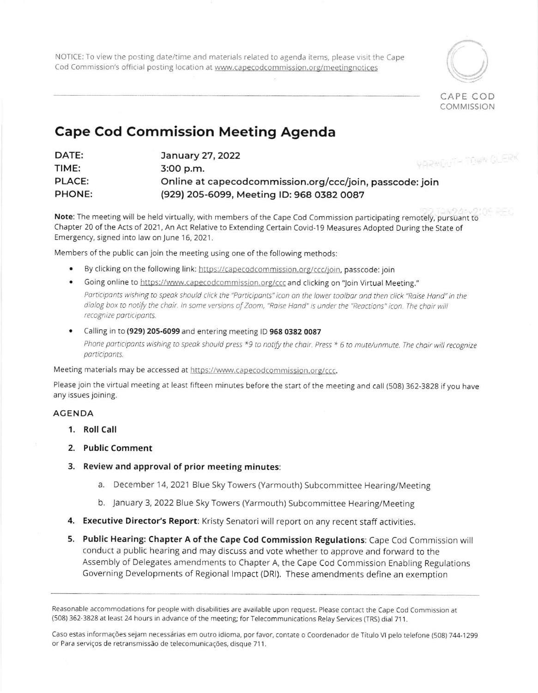NOTICE: To view the posting date/time and materials related to agenda items, please visit the Cape Cod Commission's official posting location at www.capecodcommission.org/meetingnotices



**COMMISSION** 

## Cape Cod Commission Meeting Agenda

| DATE:  | January 27, 2022<br><b><i>VARMENTH TOWN CLE</i></b>      |  |
|--------|----------------------------------------------------------|--|
| TIME:  | 3:00 p.m.                                                |  |
| PLACE: | Online at capecodcommission.org/ccc/join, passcode: join |  |
| PHONE: | (929) 205-6099, Meeting ID: 968 0382 0087                |  |

Note: The meeting will be held virtually, with members of the Cape Cod Commission participating remofety, pursuant to Chapter 20 of the Acts of 202'1, An Act Relative to Extending Certain Covid-19 Measures Adopted During the State of Emergency, signed into law on June 16, 2021 .

Members of the public can join the meeting using one of the following methods:

- By clicking on the following link: https://capecodcommission.org/ccc/join, passcode: join
- . Going online to https://www.capecodcommission.org/ccc and clicking on "Join Virtual Meeting." Participants wishing to speak should click the "Participants" icon on the lower toolbar and then click "Raise Hand" in the dialog box to notify the chair. In some versions of Zoom, "Raise Hand" is under the "Reactions" icon. The chair will recognize participants.
- Calling in to (929) 205-6099 and entering meeting ID 968 0382 0087 Phone participants wishing to speak should press \*9 to notify the chair. Press \* 6 to mute/unmute. The chair will recognize porticiponts.

Meeting materials may be accessed at https://www.capecodcommission.org/ccc.

Please join the virtual meeting at least fifteen minutes before the start of the meeting and call (508) 362-3828 if you have any issues joining.

## AGENDA

- 1. Roll Call
- 2. Public Comment
- 3. Review and approval of prior meeting minutes:
	- a. December 14, 2021 Blue sky Towers (Yarmouth) Subcommittee Hearing/Meeting
	- b. January 3, 2022 Blue 5ky Towers (Yarmouth) Subcommittee Hearing/Meering
- 4. Executive Director's Report: Kristy Senatori will report on any recent staff activities.
- 5. Public Hearing: Chapter A of the Cape Cod Commission Regulations: Cape Cod Commission will conduct a public hearing and may discuss and vote whether to approve and forward to the Assembly of Delegates amendments to Chapter A, the Cape Cod Commission Enabling Regulations Governing Developments of Regional lmpact (DRl). These amendments define an exemption

Reasonable accommodations for people with disabilities are available upon request. Please contact the Cape Cod Commission at (508) 362-3828 at least 24 hours in advance of the meeting; for Telecommunications Relay Services (TRS) dial 711.

Caso estas informações sejam necessárias em outro idioma, por favor, contate o Coordenador de Título VI pelo telefone (508) 744-1299 or Para serviços de retransmissão de telecomunicações, disque 711.